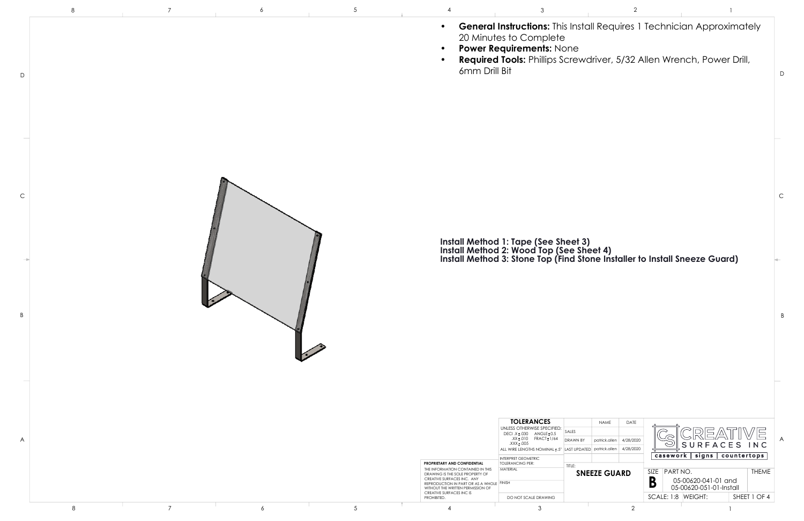

|              | -8 |                |   |                 |                                                                                                                                                                                                                      |                                                                                                                                                                                                    |                           |                                                                                                                                                                |
|--------------|----|----------------|---|-----------------|----------------------------------------------------------------------------------------------------------------------------------------------------------------------------------------------------------------------|----------------------------------------------------------------------------------------------------------------------------------------------------------------------------------------------------|---------------------------|----------------------------------------------------------------------------------------------------------------------------------------------------------------|
| $\mathsf D$  |    |                |   |                 | $\bullet$<br>$\bullet$<br>$\bullet$<br>6mm Drill Bit                                                                                                                                                                 | 20 Minutes to Complete<br>Power Requirements: None                                                                                                                                                 |                           | <b>General Instructions:</b> This Install Requires 1 Technician Approxim<br>Required Tools: Phillips Screwdriver, 5/32 Allen Wrench, Power D                   |
|              |    |                |   |                 |                                                                                                                                                                                                                      |                                                                                                                                                                                                    |                           |                                                                                                                                                                |
| $\mathsf{C}$ |    |                |   |                 |                                                                                                                                                                                                                      |                                                                                                                                                                                                    |                           |                                                                                                                                                                |
|              |    |                |   |                 |                                                                                                                                                                                                                      |                                                                                                                                                                                                    |                           | Install Method 1: Tape (See Sheet 3)<br>Install Method 2: Wood Top (See Sheet 4)<br>Install Method 3: Stone Top (Find Stone Installer to Install Sneeze Guard) |
| B            |    |                |   |                 |                                                                                                                                                                                                                      |                                                                                                                                                                                                    |                           |                                                                                                                                                                |
|              |    |                |   |                 |                                                                                                                                                                                                                      |                                                                                                                                                                                                    |                           |                                                                                                                                                                |
|              |    |                |   |                 |                                                                                                                                                                                                                      | <b>TOLERANCES</b>                                                                                                                                                                                  | NAME<br>DATE              |                                                                                                                                                                |
| A            |    |                |   |                 |                                                                                                                                                                                                                      | UNLESS OTHERWISE SPECIFIED:<br>SALES<br>DECI.X ± .030 ANGLE ± 0.5<br>.XX±.010 FRACT±1/64<br><b>DRAWN BY</b><br>XXX ± 005.<br>ALL WIRE LENGTHS NOMINAL ± .5" LAST UPDATED patrick.allen   4/28/2020 | patrick.allen   4/28/2020 | S U<br>$\scriptstyle\sim$                                                                                                                                      |
|              |    |                |   |                 | PROPRIETARY AND CONFIDENTIAL<br>THE INFORMATION CONTAINED IN THIS<br>DRAWING IS THE SOLE PROPERTY OF<br>CREATIVE SURFACES INC. ANY<br>REPRODUCTION IN PART OR AS A WHOLE FINISH<br>WITHOUT THE WRITTEN PERMISSION OF | INTERPRET GEOMETRIC<br><b>TOLERANCING PER:</b><br>TITLE:<br>MATERIAL                                                                                                                               | <b>SNEEZE GUARD</b>       | casework   signs   coun<br>SIZE PART NO.<br>B<br>05-00620-041-01 and<br>05-00620-051-01-Instal                                                                 |
|              |    | $\overline{7}$ |   | $5\phantom{.0}$ | CREATIVE SURFACES INC IS<br>PROHIBITED.                                                                                                                                                                              | DO NOT SCALE DRAWING                                                                                                                                                                               |                           | SCALE: 1:8 WEIGHT:<br>SI                                                                                                                                       |
|              | 8  |                | 6 |                 |                                                                                                                                                                                                                      | $\mathcal{S}$                                                                                                                                                                                      | $\overline{2}$            |                                                                                                                                                                |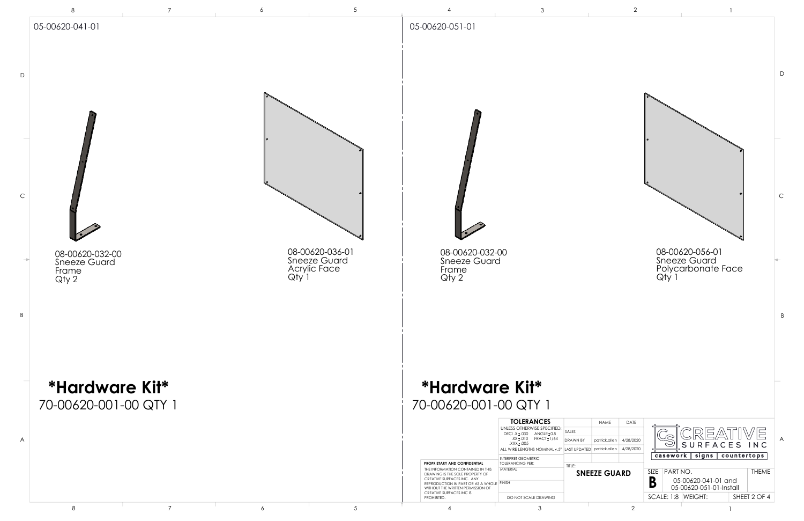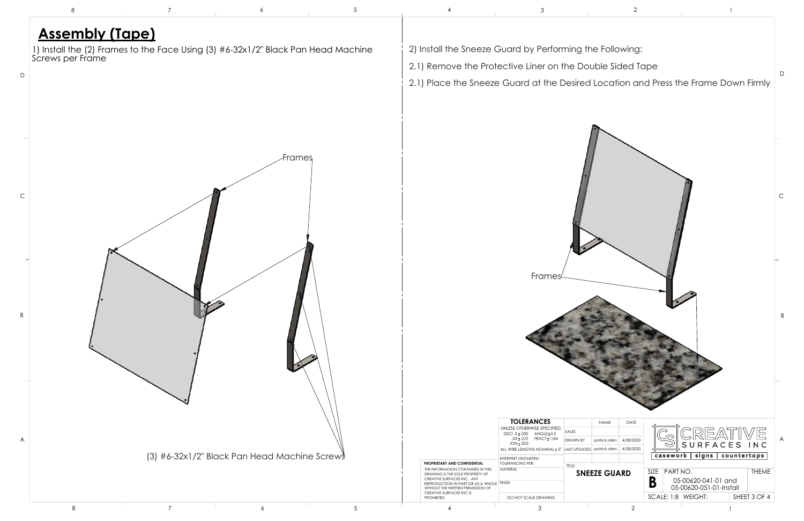